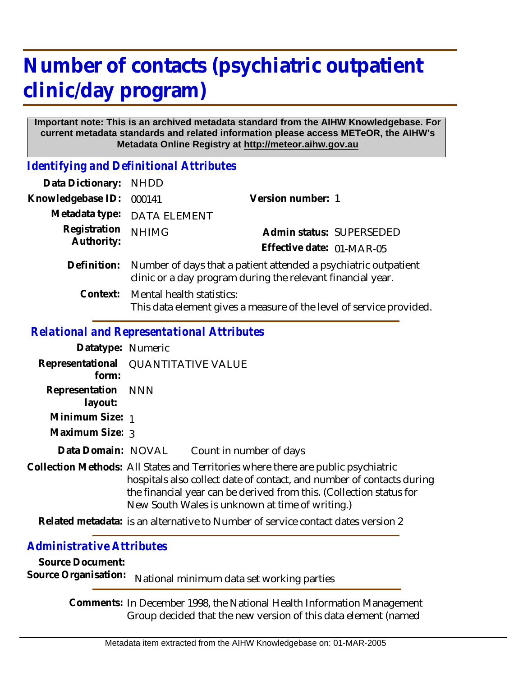# **Number of contacts (psychiatric outpatient clinic/day program)**

#### **Important note: This is an archived metadata standard from the AIHW Knowledgebase. For current metadata standards and related information please access METeOR, the AIHW's Metadata Online Registry at http://meteor.aihw.gov.au**

*Identifying and Definitional Attributes*

| Data Dictionary: NHDD      |                                                                                                                                |                                                                     |
|----------------------------|--------------------------------------------------------------------------------------------------------------------------------|---------------------------------------------------------------------|
| Knowledgebase ID:          | 000141                                                                                                                         | Version number: 1                                                   |
|                            | Metadata type: DATA ELEMENT                                                                                                    |                                                                     |
| Registration<br>Authority: | <b>NHIMG</b>                                                                                                                   | Admin status: SUPERSEDED                                            |
|                            |                                                                                                                                | Effective date: 01-MAR-05                                           |
| Definition:                | Number of days that a patient attended a psychiatric outpatient<br>clinic or a day program during the relevant financial year. |                                                                     |
|                            | Context: Mental health statistics:                                                                                             | This data element gives a measure of the level of service provided. |

### *Relational and Representational Attributes*

| Datatype: Numeric             |                                                                                                                                                                                                                                                                                      |  |
|-------------------------------|--------------------------------------------------------------------------------------------------------------------------------------------------------------------------------------------------------------------------------------------------------------------------------------|--|
| form:                         | Representational QUANTITATIVE VALUE                                                                                                                                                                                                                                                  |  |
| Representation NNN<br>layout: |                                                                                                                                                                                                                                                                                      |  |
| Minimum Size: 1               |                                                                                                                                                                                                                                                                                      |  |
| Maximum Size: 3               |                                                                                                                                                                                                                                                                                      |  |
| Data Domain: NOVAL            | Count in number of days                                                                                                                                                                                                                                                              |  |
|                               | Collection Methods: All States and Territories where there are public psychiatric<br>hospitals also collect date of contact, and number of contacts during<br>the financial year can be derived from this. (Collection status for<br>New South Wales is unknown at time of writing.) |  |
|                               | Related metadata: is an alternative to Number of service contact dates version 2                                                                                                                                                                                                     |  |

## *Administrative Attributes*

**Source Document:**

Source Organisation: National minimum data set working parties

Comments: In December 1998, the National Health Information Management Group decided that the new version of this data element (named